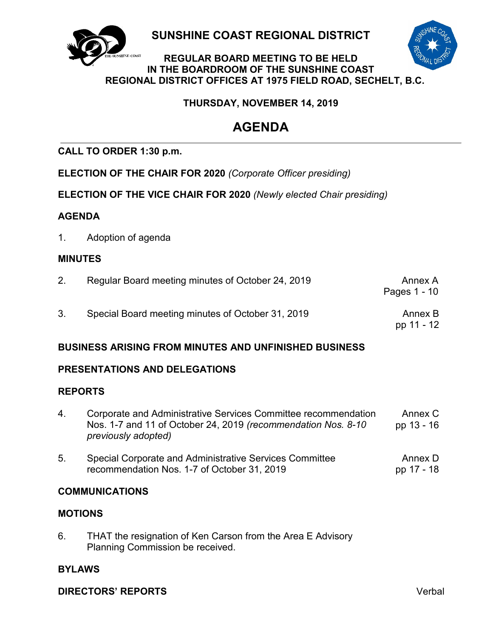

**SUNSHINE COAST REGIONAL DISTRICT**

# **REGULAR BOARD MEETING TO BE HELD IN THE BOARDROOM OF THE SUNSHINE COAST REGIONAL DISTRICT OFFICES AT 1975 FIELD ROAD, SECHELT, B.C.**

# **THURSDAY, NOVEMBER 14, 2019**

# **AGENDA**

# **CALL TO ORDER 1:30 p.m.**

**ELECTION OF THE CHAIR FOR 2020** *(Corporate Officer presiding)*

**ELECTION OF THE VICE CHAIR FOR 2020** *(Newly elected Chair presiding)*

# **AGENDA**

1. Adoption of agenda

# **MINUTES**

| Regular Board meeting minutes of October 24, 2019 | Annex A<br>Pages 1 - 10 |
|---------------------------------------------------|-------------------------|
| Special Board meeting minutes of October 31, 2019 | Annex B<br>pp 11 - 12   |

# **BUSINESS ARISING FROM MINUTES AND UNFINISHED BUSINESS**

# **PRESENTATIONS AND DELEGATIONS**

# **REPORTS**

- 4. [Corporate and Administrative Services](#page-15-0) Committee recommendation Nos. 1-7 and 11 of October 24, 2019 *(recommendation Nos. 8-10 previously adopted)* Annex C pp 13 - 16
- 5. [Special Corporate and Administrative Services Committee](#page-19-0)  recommendation Nos. 1-7 of October 31, 2019 Annex D pp 17 - 18

# **COMMUNICATIONS**

# **MOTIONS**

6. THAT the resignation of Ken Carson from the Area E Advisory Planning Commission be received.

# **BYLAWS**

**DIRECTORS' REPORTS** Verbal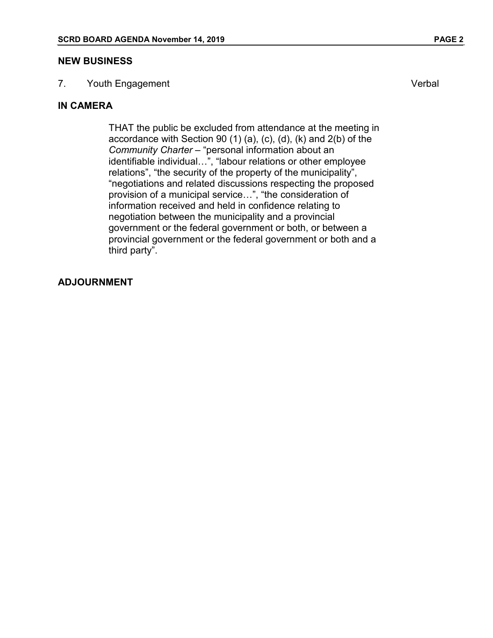#### **NEW BUSINESS**

7. Youth Engagement **Verbal** 

# **IN CAMERA**

THAT the public be excluded from attendance at the meeting in accordance with Section 90 (1) (a), (c), (d), (k) and 2(b) of the *Community Charter* – "personal information about an identifiable individual…", "labour relations or other employee relations", "the security of the property of the municipality", "negotiations and related discussions respecting the proposed provision of a municipal service…", "the consideration of information received and held in confidence relating to negotiation between the municipality and a provincial government or the federal government or both, or between a provincial government or the federal government or both and a third party".

## **ADJOURNMENT**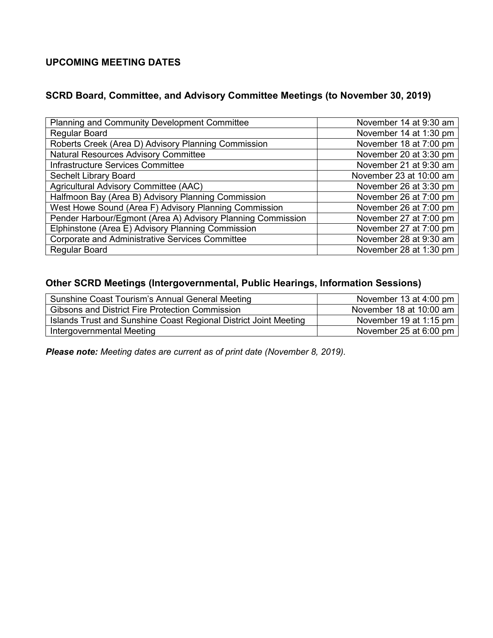# **UPCOMING MEETING DATES**

# **SCRD Board, Committee, and Advisory Committee Meetings (to November 30, 2019)**

| <b>Planning and Community Development Committee</b>         | November 14 at 9:30 am  |
|-------------------------------------------------------------|-------------------------|
| <b>Regular Board</b>                                        | November 14 at 1:30 pm  |
| Roberts Creek (Area D) Advisory Planning Commission         | November 18 at 7:00 pm  |
| <b>Natural Resources Advisory Committee</b>                 | November 20 at 3:30 pm  |
| Infrastructure Services Committee                           | November 21 at 9:30 am  |
| Sechelt Library Board                                       | November 23 at 10:00 am |
| Agricultural Advisory Committee (AAC)                       | November 26 at 3:30 pm  |
| Halfmoon Bay (Area B) Advisory Planning Commission          | November 26 at 7:00 pm  |
| West Howe Sound (Area F) Advisory Planning Commission       | November 26 at 7:00 pm  |
| Pender Harbour/Egmont (Area A) Advisory Planning Commission | November 27 at 7:00 pm  |
| Elphinstone (Area E) Advisory Planning Commission           | November 27 at 7:00 pm  |
| <b>Corporate and Administrative Services Committee</b>      | November 28 at 9:30 am  |
| <b>Regular Board</b>                                        | November 28 at 1:30 pm  |

# **Other SCRD Meetings (Intergovernmental, Public Hearings, Information Sessions)**

| Sunshine Coast Tourism's Annual General Meeting                  | November 13 at 4:00 pm         |
|------------------------------------------------------------------|--------------------------------|
| <b>Gibsons and District Fire Protection Commission</b>           | November 18 at 10:00 am        |
| Islands Trust and Sunshine Coast Regional District Joint Meeting | November 19 at 1:15 pm         |
| Intergovernmental Meeting                                        | November 25 at 6:00 pm $\vert$ |

*Please note: Meeting dates are current as of print date (November 8, 2019).*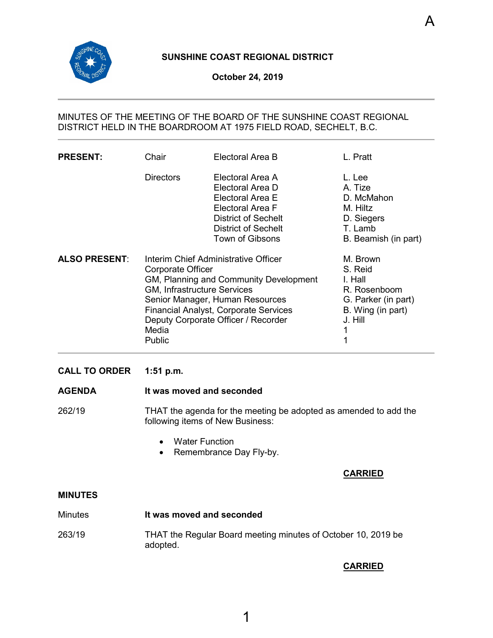<span id="page-3-0"></span>

# **SUNSHINE COAST REGIONAL DISTRICT**

#### **October 24, 2019**

## MINUTES OF THE MEETING OF THE BOARD OF THE SUNSHINE COAST REGIONAL DISTRICT HELD IN THE BOARDROOM AT 1975 FIELD ROAD, SECHELT, B.C.

| <b>PRESENT:</b>      | Chair                                                                                                                                                                                                                                                                           | Electoral Area B                                                                                                                                                   | L. Pratt                                                                                                   |
|----------------------|---------------------------------------------------------------------------------------------------------------------------------------------------------------------------------------------------------------------------------------------------------------------------------|--------------------------------------------------------------------------------------------------------------------------------------------------------------------|------------------------------------------------------------------------------------------------------------|
|                      | <b>Directors</b>                                                                                                                                                                                                                                                                | Electoral Area A<br>Electoral Area D<br>Electoral Area E<br>Electoral Area F<br><b>District of Sechelt</b><br><b>District of Sechelt</b><br><b>Town of Gibsons</b> | L. Lee<br>A. Tize<br>D. McMahon<br>M. Hiltz<br>D. Siegers<br>T. Lamb<br>B. Beamish (in part)               |
| <b>ALSO PRESENT:</b> | Interim Chief Administrative Officer<br>Corporate Officer<br>GM, Planning and Community Development<br>GM, Infrastructure Services<br>Senior Manager, Human Resources<br><b>Financial Analyst, Corporate Services</b><br>Deputy Corporate Officer / Recorder<br>Media<br>Public |                                                                                                                                                                    | M. Brown<br>S. Reid<br>I. Hall<br>R. Rosenboom<br>G. Parker (in part)<br>B. Wing (in part)<br>J. Hill<br>1 |

#### **CALL TO ORDER 1:51 p.m.**

## **AGENDA It was moved and seconded**

262/19 THAT the agenda for the meeting be adopted as amended to add the following items of New Business:

- Water Function
- Remembrance Day Fly-by.

#### **CARRIED**

A

#### **MINUTES**

| <b>Minutes</b> | It was moved and seconded                                                 |
|----------------|---------------------------------------------------------------------------|
| 263/19         | THAT the Regular Board meeting minutes of October 10, 2019 be<br>adopted. |

## **CARRIED**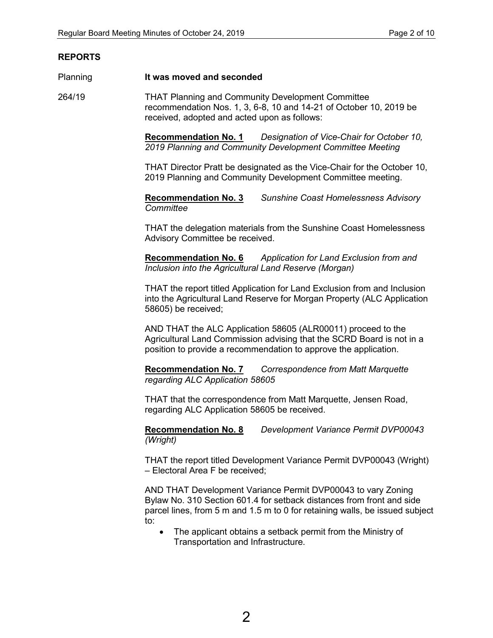## **REPORTS**

#### Planning **It was moved and seconded**

264/19 THAT Planning and Community Development Committee recommendation Nos. 1, 3, 6-8, 10 and 14-21 of October 10, 2019 be received, adopted and acted upon as follows:

> **Recommendation No. 1** *Designation of Vice-Chair for October 10, 2019 Planning and Community Development Committee Meeting*

THAT Director Pratt be designated as the Vice-Chair for the October 10, 2019 Planning and Community Development Committee meeting.

**Recommendation No. 3** *Sunshine Coast Homelessness Advisory Committee*

THAT the delegation materials from the Sunshine Coast Homelessness Advisory Committee be received.

**Recommendation No. 6** *Application for Land Exclusion from and Inclusion into the Agricultural Land Reserve (Morgan)*

THAT the report titled Application for Land Exclusion from and Inclusion into the Agricultural Land Reserve for Morgan Property (ALC Application 58605) be received;

AND THAT the ALC Application 58605 (ALR00011) proceed to the Agricultural Land Commission advising that the SCRD Board is not in a position to provide a recommendation to approve the application.

**Recommendation No. 7** *Correspondence from Matt Marquette regarding ALC Application 58605*

THAT that the correspondence from Matt Marquette, Jensen Road, regarding ALC Application 58605 be received.

**Recommendation No. 8** *Development Variance Permit DVP00043 (Wright)*

THAT the report titled Development Variance Permit DVP00043 (Wright) – Electoral Area F be received;

AND THAT Development Variance Permit DVP00043 to vary Zoning Bylaw No. 310 Section 601.4 for setback distances from front and side parcel lines, from 5 m and 1.5 m to 0 for retaining walls, be issued subject to:

• The applicant obtains a setback permit from the Ministry of Transportation and Infrastructure.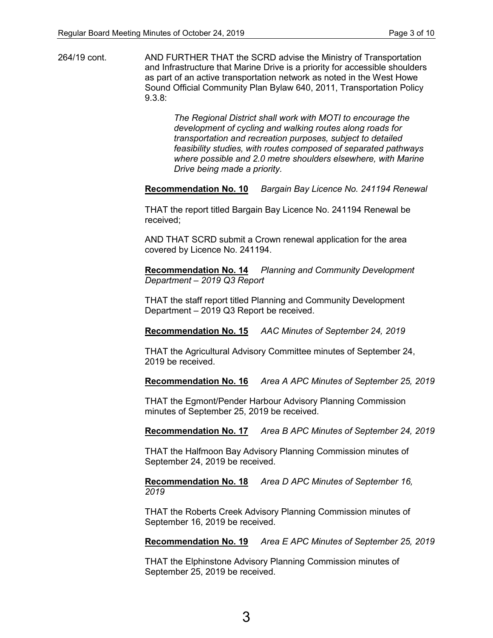264/19 cont. AND FURTHER THAT the SCRD advise the Ministry of Transportation and Infrastructure that Marine Drive is a priority for accessible shoulders as part of an active transportation network as noted in the West Howe Sound Official Community Plan Bylaw 640, 2011, Transportation Policy 9.3.8:

> *The Regional District shall work with MOTI to encourage the development of cycling and walking routes along roads for transportation and recreation purposes, subject to detailed feasibility studies, with routes composed of separated pathways where possible and 2.0 metre shoulders elsewhere, with Marine Drive being made a priority.*

**Recommendation No. 10** *Bargain Bay Licence No. 241194 Renewal*

THAT the report titled Bargain Bay Licence No. 241194 Renewal be received;

AND THAT SCRD submit a Crown renewal application for the area covered by Licence No. 241194.

**Recommendation No. 14** *Planning and Community Development Department – 2019 Q3 Report*

THAT the staff report titled Planning and Community Development Department – 2019 Q3 Report be received.

**Recommendation No. 15** *AAC Minutes of September 24, 2019*

THAT the Agricultural Advisory Committee minutes of September 24, 2019 be received.

**Recommendation No. 16** *Area A APC Minutes of September 25, 2019*

THAT the Egmont/Pender Harbour Advisory Planning Commission minutes of September 25, 2019 be received.

**Recommendation No. 17** *Area B APC Minutes of September 24, 2019*

THAT the Halfmoon Bay Advisory Planning Commission minutes of September 24, 2019 be received.

**Recommendation No. 18** *Area D APC Minutes of September 16, 2019*

THAT the Roberts Creek Advisory Planning Commission minutes of September 16, 2019 be received.

**Recommendation No. 19** *Area E APC Minutes of September 25, 2019*

THAT the Elphinstone Advisory Planning Commission minutes of September 25, 2019 be received.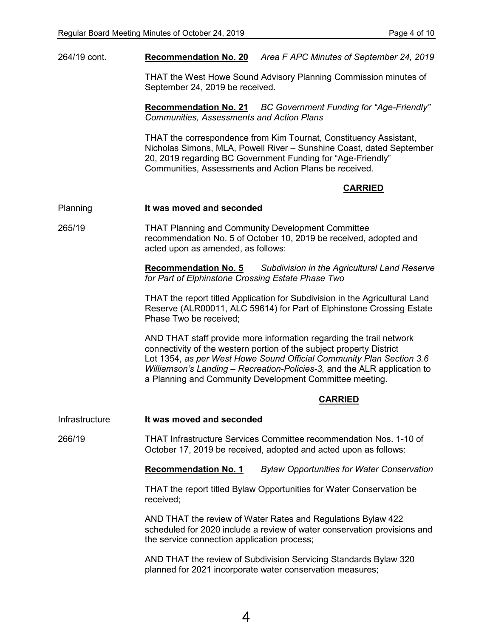264/19 cont. **Recommendation No. 20** *Area F APC Minutes of September 24, 2019*

THAT the West Howe Sound Advisory Planning Commission minutes of September 24, 2019 be received.

**Recommendation No. 21** *BC Government Funding for "Age-Friendly" Communities, Assessments and Action Plans*

THAT the correspondence from Kim Tournat, Constituency Assistant, Nicholas Simons, MLA, Powell River – Sunshine Coast, dated September 20, 2019 regarding BC Government Funding for "Age-Friendly" Communities, Assessments and Action Plans be received.

### **CARRIED**

#### Planning **It was moved and seconded**

265/19 THAT Planning and Community Development Committee recommendation No. 5 of October 10, 2019 be received, adopted and acted upon as amended, as follows:

> **Recommendation No. 5** *Subdivision in the Agricultural Land Reserve for Part of Elphinstone Crossing Estate Phase Two*

> THAT the report titled Application for Subdivision in the Agricultural Land Reserve (ALR00011, ALC 59614) for Part of Elphinstone Crossing Estate Phase Two be received;

> AND THAT staff provide more information regarding the trail network connectivity of the western portion of the subject property District Lot 1354, *as per West Howe Sound Official Community Plan Section 3.6 Williamson's Landing – Recreation-Policies-3,* and the ALR application to a Planning and Community Development Committee meeting.

#### **CARRIED**

Infrastructure **It was moved and seconded**

266/19 THAT Infrastructure Services Committee recommendation Nos. 1-10 of October 17, 2019 be received, adopted and acted upon as follows:

**Recommendation No. 1** *Bylaw Opportunities for Water Conservation*

THAT the report titled Bylaw Opportunities for Water Conservation be received;

AND THAT the review of Water Rates and Regulations Bylaw 422 scheduled for 2020 include a review of water conservation provisions and the service connection application process;

AND THAT the review of Subdivision Servicing Standards Bylaw 320 planned for 2021 incorporate water conservation measures;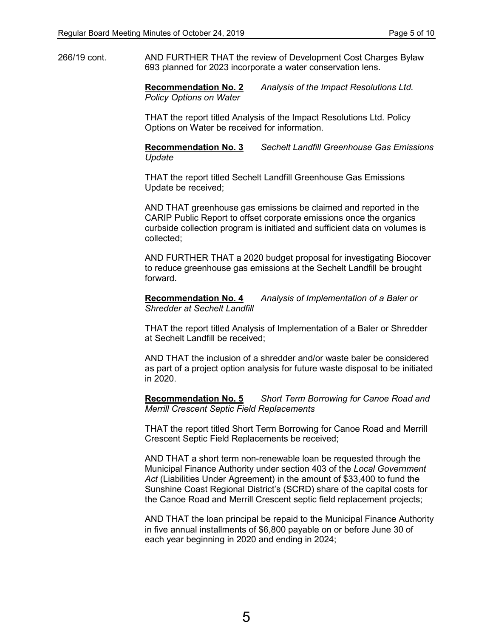266/19 cont. AND FURTHER THAT the review of Development Cost Charges Bylaw 693 planned for 2023 incorporate a water conservation lens.

> **Recommendation No. 2** *Analysis of the Impact Resolutions Ltd. Policy Options on Water*

> THAT the report titled Analysis of the Impact Resolutions Ltd. Policy Options on Water be received for information.

**Recommendation No. 3** *Sechelt Landfill Greenhouse Gas Emissions Update*

THAT the report titled Sechelt Landfill Greenhouse Gas Emissions Update be received;

AND THAT greenhouse gas emissions be claimed and reported in the CARIP Public Report to offset corporate emissions once the organics curbside collection program is initiated and sufficient data on volumes is collected;

AND FURTHER THAT a 2020 budget proposal for investigating Biocover to reduce greenhouse gas emissions at the Sechelt Landfill be brought forward.

**Recommendation No. 4** *Analysis of Implementation of a Baler or Shredder at Sechelt Landfill*

THAT the report titled Analysis of Implementation of a Baler or Shredder at Sechelt Landfill be received;

AND THAT the inclusion of a shredder and/or waste baler be considered as part of a project option analysis for future waste disposal to be initiated in 2020.

**Recommendation No. 5** *Short Term Borrowing for Canoe Road and Merrill Crescent Septic Field Replacements*

THAT the report titled Short Term Borrowing for Canoe Road and Merrill Crescent Septic Field Replacements be received;

AND THAT a short term non-renewable loan be requested through the Municipal Finance Authority under section 403 of the *Local Government Act* (Liabilities Under Agreement) in the amount of \$33,400 to fund the Sunshine Coast Regional District's (SCRD) share of the capital costs for the Canoe Road and Merrill Crescent septic field replacement projects;

AND THAT the loan principal be repaid to the Municipal Finance Authority in five annual installments of \$6,800 payable on or before June 30 of each year beginning in 2020 and ending in 2024;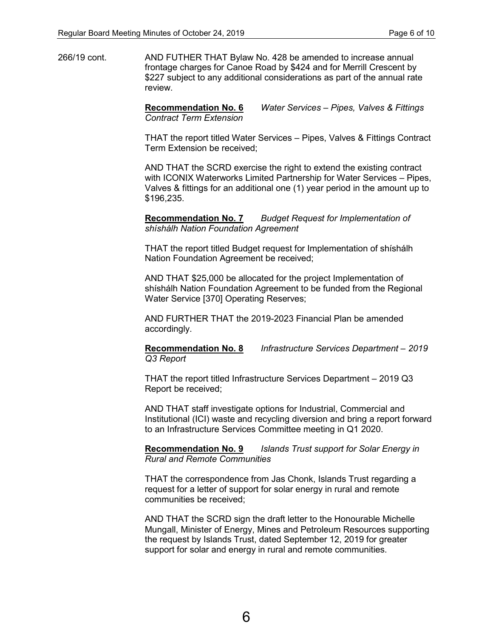266/19 cont. AND FUTHER THAT Bylaw No. 428 be amended to increase annual frontage charges for Canoe Road by \$424 and for Merrill Crescent by \$227 subject to any additional considerations as part of the annual rate review.

> **Recommendation No. 6** *Water Services – Pipes, Valves & Fittings Contract Term Extension*

THAT the report titled Water Services – Pipes, Valves & Fittings Contract Term Extension be received;

AND THAT the SCRD exercise the right to extend the existing contract with ICONIX Waterworks Limited Partnership for Water Services – Pipes, Valves & fittings for an additional one (1) year period in the amount up to \$196,235.

**Recommendation No. 7** *Budget Request for Implementation of shíshálh Nation Foundation Agreement*

THAT the report titled Budget request for Implementation of shíshálh Nation Foundation Agreement be received;

AND THAT \$25,000 be allocated for the project Implementation of shíshálh Nation Foundation Agreement to be funded from the Regional Water Service [370] Operating Reserves;

AND FURTHER THAT the 2019-2023 Financial Plan be amended accordingly.

**Recommendation No. 8** *Infrastructure Services Department – 2019 Q3 Report*

THAT the report titled Infrastructure Services Department – 2019 Q3 Report be received;

AND THAT staff investigate options for Industrial, Commercial and Institutional (ICI) waste and recycling diversion and bring a report forward to an Infrastructure Services Committee meeting in Q1 2020.

**Recommendation No. 9** *Islands Trust support for Solar Energy in Rural and Remote Communities*

THAT the correspondence from Jas Chonk, Islands Trust regarding a request for a letter of support for solar energy in rural and remote communities be received;

AND THAT the SCRD sign the draft letter to the Honourable Michelle Mungall, Minister of Energy, Mines and Petroleum Resources supporting the request by Islands Trust, dated September 12, 2019 for greater support for solar and energy in rural and remote communities.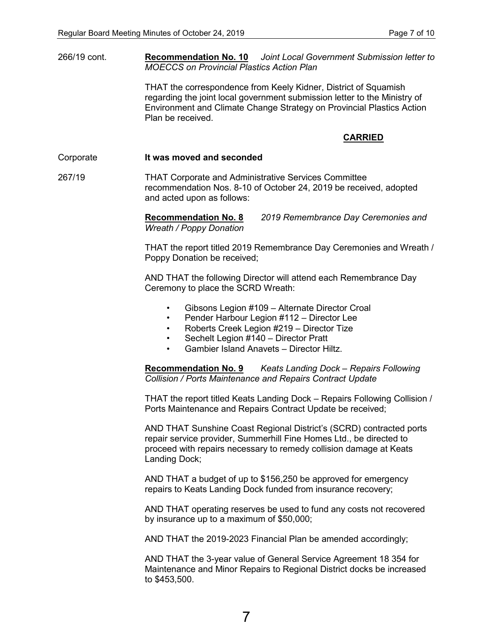266/19 cont. **Recommendation No. 10** *Joint Local Government Submission letter to MOECCS on Provincial Plastics Action Plan*

> THAT the correspondence from Keely Kidner, District of Squamish regarding the joint local government submission letter to the Ministry of Environment and Climate Change Strategy on Provincial Plastics Action Plan be received.

### **CARRIED**

#### Corporate **It was moved and seconded**

267/19 THAT Corporate and Administrative Services Committee recommendation Nos. 8-10 of October 24, 2019 be received, adopted and acted upon as follows:

> **Recommendation No. 8** *2019 Remembrance Day Ceremonies and Wreath / Poppy Donation*

THAT the report titled 2019 Remembrance Day Ceremonies and Wreath / Poppy Donation be received;

AND THAT the following Director will attend each Remembrance Day Ceremony to place the SCRD Wreath:

- Gibsons Legion #109 Alternate Director Croal
- Pender Harbour Legion #112 Director Lee
- Roberts Creek Legion #219 Director Tize
- Sechelt Legion #140 Director Pratt
- Gambier Island Anavets Director Hiltz.

**Recommendation No. 9** *Keats Landing Dock – Repairs Following Collision / Ports Maintenance and Repairs Contract Update*

THAT the report titled Keats Landing Dock – Repairs Following Collision / Ports Maintenance and Repairs Contract Update be received;

AND THAT Sunshine Coast Regional District's (SCRD) contracted ports repair service provider, Summerhill Fine Homes Ltd., be directed to proceed with repairs necessary to remedy collision damage at Keats Landing Dock;

AND THAT a budget of up to \$156,250 be approved for emergency repairs to Keats Landing Dock funded from insurance recovery;

AND THAT operating reserves be used to fund any costs not recovered by insurance up to a maximum of \$50,000;

AND THAT the 2019-2023 Financial Plan be amended accordingly;

AND THAT the 3-year value of General Service Agreement 18 354 for Maintenance and Minor Repairs to Regional District docks be increased to \$453,500.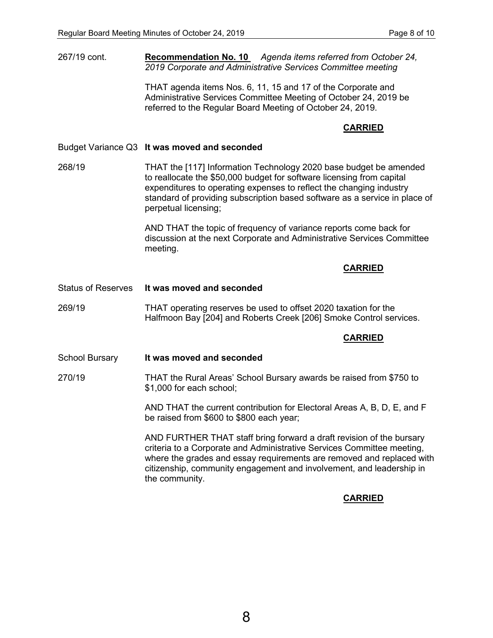267/19 cont. **Recommendation No. 10** *Agenda items referred from October 24, 2019 Corporate and Administrative Services Committee meeting*

> THAT agenda items Nos. 6, 11, 15 and 17 of the Corporate and Administrative Services Committee Meeting of October 24, 2019 be referred to the Regular Board Meeting of October 24, 2019.

## **CARRIED**

Budget Variance Q3 **It was moved and seconded**

268/19 THAT the [117] Information Technology 2020 base budget be amended to reallocate the \$50,000 budget for software licensing from capital expenditures to operating expenses to reflect the changing industry standard of providing subscription based software as a service in place of perpetual licensing;

> AND THAT the topic of frequency of variance reports come back for discussion at the next Corporate and Administrative Services Committee meeting.

### **CARRIED**

Status of Reserves **It was moved and seconded**

269/19 THAT operating reserves be used to offset 2020 taxation for the Halfmoon Bay [204] and Roberts Creek [206] Smoke Control services.

#### **CARRIED**

School Bursary **It was moved and seconded**

270/19 THAT the Rural Areas' School Bursary awards be raised from \$750 to \$1,000 for each school;

> AND THAT the current contribution for Electoral Areas A, B, D, E, and F be raised from \$600 to \$800 each year;

AND FURTHER THAT staff bring forward a draft revision of the bursary criteria to a Corporate and Administrative Services Committee meeting, where the grades and essay requirements are removed and replaced with citizenship, community engagement and involvement, and leadership in the community.

## **CARRIED**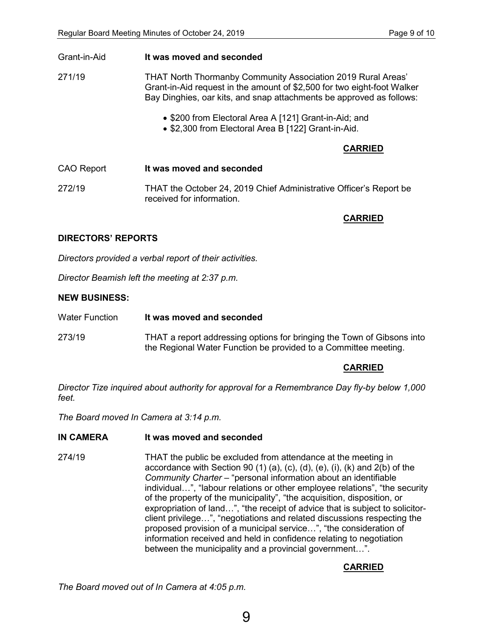| Grant-in-Aid      | It was moved and seconded                                                                                                                                                                                       |  |
|-------------------|-----------------------------------------------------------------------------------------------------------------------------------------------------------------------------------------------------------------|--|
| 271/19            | THAT North Thormanby Community Association 2019 Rural Areas'<br>Grant-in-Aid request in the amount of \$2,500 for two eight-foot Walker<br>Bay Dinghies, oar kits, and snap attachments be approved as follows: |  |
|                   | • \$200 from Electoral Area A [121] Grant-in-Aid; and<br>• \$2,300 from Electoral Area B [122] Grant-in-Aid.                                                                                                    |  |
|                   | <b>CARRIED</b>                                                                                                                                                                                                  |  |
| <b>CAO Report</b> | It was moved and seconded                                                                                                                                                                                       |  |
| 272/19            | THAT the October 24, 2019 Chief Administrative Officer's Report be<br>received for information                                                                                                                  |  |
|                   | <b>CARRIED</b>                                                                                                                                                                                                  |  |

# **DIRECTORS' REPORTS**

*Directors provided a verbal report of their activities.*

*Director Beamish left the meeting at 2:37 p.m.*

### **NEW BUSINESS:**

| <b>Water Function</b> | It was moved and seconded |  |
|-----------------------|---------------------------|--|
|                       |                           |  |

273/19 THAT a report addressing options for bringing the Town of Gibsons into the Regional Water Function be provided to a Committee meeting.

## **CARRIED**

*Director Tize inquired about authority for approval for a Remembrance Day fly-by below 1,000 feet.* 

*The Board moved In Camera at 3:14 p.m.*

## **IN CAMERA It was moved and seconded**

274/19 THAT the public be excluded from attendance at the meeting in accordance with Section 90 (1) (a), (c), (d), (e), (i), (k) and  $2(b)$  of the *Community Charter* – "personal information about an identifiable individual…", "labour relations or other employee relations", "the security of the property of the municipality", "the acquisition, disposition, or expropriation of land…", "the receipt of advice that is subject to solicitorclient privilege…", "negotiations and related discussions respecting the proposed provision of a municipal service…", "the consideration of information received and held in confidence relating to negotiation between the municipality and a provincial government…".

# **CARRIED**

*The Board moved out of In Camera at 4:05 p.m.*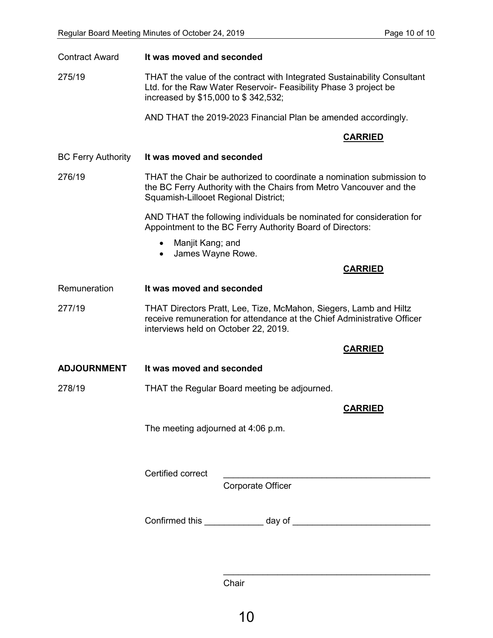| <b>Contract Award</b>     | It was moved and seconded                                                                                                                                                            |  |
|---------------------------|--------------------------------------------------------------------------------------------------------------------------------------------------------------------------------------|--|
| 275/19                    | THAT the value of the contract with Integrated Sustainability Consultant<br>Ltd. for the Raw Water Reservoir- Feasibility Phase 3 project be<br>increased by \$15,000 to \$342,532;  |  |
|                           | AND THAT the 2019-2023 Financial Plan be amended accordingly.                                                                                                                        |  |
|                           | <b>CARRIED</b>                                                                                                                                                                       |  |
| <b>BC Ferry Authority</b> | It was moved and seconded                                                                                                                                                            |  |
| 276/19                    | THAT the Chair be authorized to coordinate a nomination submission to<br>the BC Ferry Authority with the Chairs from Metro Vancouver and the<br>Squamish-Lillooet Regional District; |  |
|                           | AND THAT the following individuals be nominated for consideration for<br>Appointment to the BC Ferry Authority Board of Directors:                                                   |  |
|                           | Manjit Kang; and<br>James Wayne Rowe.<br>$\bullet$                                                                                                                                   |  |
|                           | <b>CARRIED</b>                                                                                                                                                                       |  |
| Remuneration              | It was moved and seconded                                                                                                                                                            |  |
| 277/19                    | THAT Directors Pratt, Lee, Tize, McMahon, Siegers, Lamb and Hiltz<br>receive remuneration for attendance at the Chief Administrative Officer<br>interviews held on October 22, 2019. |  |
|                           | <b>CARRIED</b>                                                                                                                                                                       |  |
| <b>ADJOURNMENT</b>        | It was moved and seconded                                                                                                                                                            |  |
| 278/19                    | THAT the Regular Board meeting be adjourned.                                                                                                                                         |  |
|                           | <b>CARRIED</b>                                                                                                                                                                       |  |
|                           | The meeting adjourned at 4:06 p.m.                                                                                                                                                   |  |
|                           | Certified correct                                                                                                                                                                    |  |
|                           | <b>Corporate Officer</b>                                                                                                                                                             |  |
|                           |                                                                                                                                                                                      |  |

Chair

 $\frac{1}{2}$  ,  $\frac{1}{2}$  ,  $\frac{1}{2}$  ,  $\frac{1}{2}$  ,  $\frac{1}{2}$  ,  $\frac{1}{2}$  ,  $\frac{1}{2}$  ,  $\frac{1}{2}$  ,  $\frac{1}{2}$  ,  $\frac{1}{2}$  ,  $\frac{1}{2}$  ,  $\frac{1}{2}$  ,  $\frac{1}{2}$  ,  $\frac{1}{2}$  ,  $\frac{1}{2}$  ,  $\frac{1}{2}$  ,  $\frac{1}{2}$  ,  $\frac{1}{2}$  ,  $\frac{1$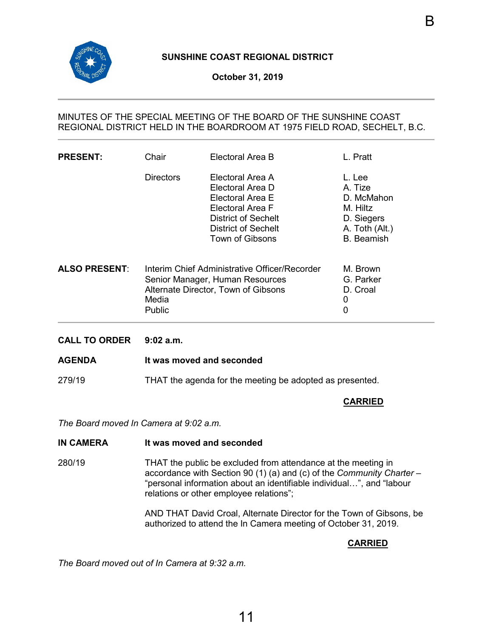<span id="page-13-0"></span>

# **October 31, 2019**

# MINUTES OF THE SPECIAL MEETING OF THE BOARD OF THE SUNSHINE COAST REGIONAL DISTRICT HELD IN THE BOARDROOM AT 1975 FIELD ROAD, SECHELT, B.C.

| <b>PRESENT:</b>      | Chair            | Electoral Area B                                                                                                                                                   | L. Pratt                                                                                         |
|----------------------|------------------|--------------------------------------------------------------------------------------------------------------------------------------------------------------------|--------------------------------------------------------------------------------------------------|
|                      | <b>Directors</b> | Electoral Area A<br>Electoral Area D<br>Flectoral Area F<br>Electoral Area F<br><b>District of Sechelt</b><br><b>District of Sechelt</b><br><b>Town of Gibsons</b> | L. Lee<br>A. Tize<br>D. McMahon<br>M. Hiltz<br>D. Siegers<br>A. Toth (Alt.)<br><b>B.</b> Beamish |
| <b>ALSO PRESENT:</b> | Media<br>Public  | Interim Chief Administrative Officer/Recorder<br>Senior Manager, Human Resources<br>Alternate Director, Town of Gibsons                                            | M. Brown<br>G. Parker<br>D. Croal<br>0<br>0                                                      |

**CALL TO ORDER 9:02 a.m.**

#### **AGENDA It was moved and seconded**

279/19 THAT the agenda for the meeting be adopted as presented.

## **CARRIED**

*The Board moved In Camera at 9:02 a.m.*

#### **IN CAMERA It was moved and seconded**

280/19 THAT the public be excluded from attendance at the meeting in accordance with Section 90 (1) (a) and (c) of the *Community Charter* – "personal information about an identifiable individual…", and "labour relations or other employee relations";

> AND THAT David Croal, Alternate Director for the Town of Gibsons, be authorized to attend the In Camera meeting of October 31, 2019.

# **CARRIED**

*The Board moved out of In Camera at 9:32 a.m.*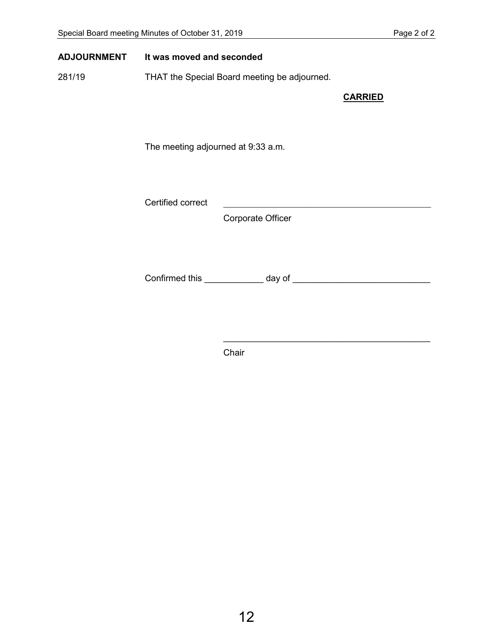## **ADJOURNMENT It was moved and seconded**

281/19 THAT the Special Board meeting be adjourned.

**CARRIED**

The meeting adjourned at 9:33 a.m.

Certified correct

Corporate Officer

Confirmed this \_\_\_\_\_\_\_\_\_\_\_\_ day of \_\_\_\_\_\_\_\_\_\_\_\_\_\_\_\_\_\_\_\_\_\_\_\_\_\_\_\_

 $\overline{\phantom{a}}$  , and the contract of the contract of the contract of the contract of the contract of the contract of the contract of the contract of the contract of the contract of the contract of the contract of the contrac

Chair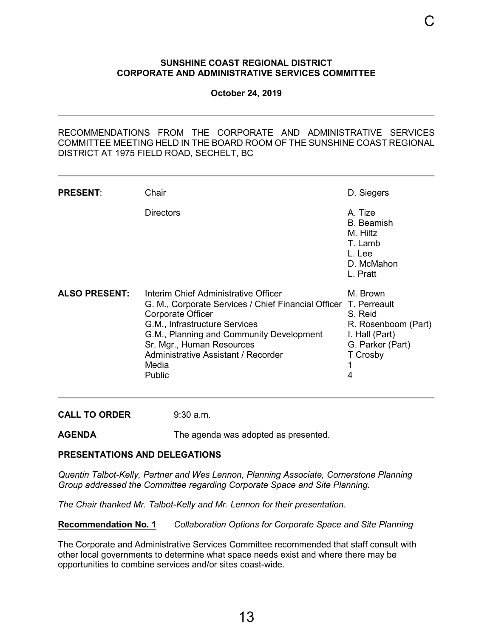### <span id="page-15-0"></span>**SUNSHINE COAST REGIONAL DISTRICT CORPORATE AND ADMINISTRATIVE SERVICES COMMITTEE**

C

**October 24, 2019**

RECOMMENDATIONS FROM THE CORPORATE AND ADMINISTRATIVE SERVICES COMMITTEE MEETING HELD IN THE BOARD ROOM OF THE SUNSHINE COAST REGIONAL DISTRICT AT 1975 FIELD ROAD, SECHELT, BC

| <b>PRESENT:</b>      | Chair                                                                                                                                                                                                                                                                                             | D. Siegers                                                                                        |
|----------------------|---------------------------------------------------------------------------------------------------------------------------------------------------------------------------------------------------------------------------------------------------------------------------------------------------|---------------------------------------------------------------------------------------------------|
|                      | Directors                                                                                                                                                                                                                                                                                         | A. Tize<br><b>B.</b> Beamish<br>M. Hiltz<br>T. Lamb<br>L. Lee<br>D. McMahon<br>L. Pratt           |
| <b>ALSO PRESENT:</b> | Interim Chief Administrative Officer<br>G. M., Corporate Services / Chief Financial Officer T. Perreault<br>Corporate Officer<br>G.M., Infrastructure Services<br>G.M., Planning and Community Development<br>Sr. Mgr., Human Resources<br>Administrative Assistant / Recorder<br>Media<br>Public | M. Brown<br>S. Reid<br>R. Rosenboom (Part)<br>I. Hall (Part)<br>G. Parker (Part)<br>T Crosby<br>4 |

**CALL TO ORDER** 9:30 a.m.

**AGENDA** The agenda was adopted as presented.

## **PRESENTATIONS AND DELEGATIONS**

*Quentin Talbot-Kelly, Partner and Wes Lennon, Planning Associate, Cornerstone Planning Group addressed the Committee regarding Corporate Space and Site Planning.* 

*The Chair thanked Mr. Talbot-Kelly and Mr. Lennon for their presentation.*

**Recommendation No. 1** *Collaboration Options for Corporate Space and Site Planning*

The Corporate and Administrative Services Committee recommended that staff consult with other local governments to determine what space needs exist and where there may be opportunities to combine services and/or sites coast-wide.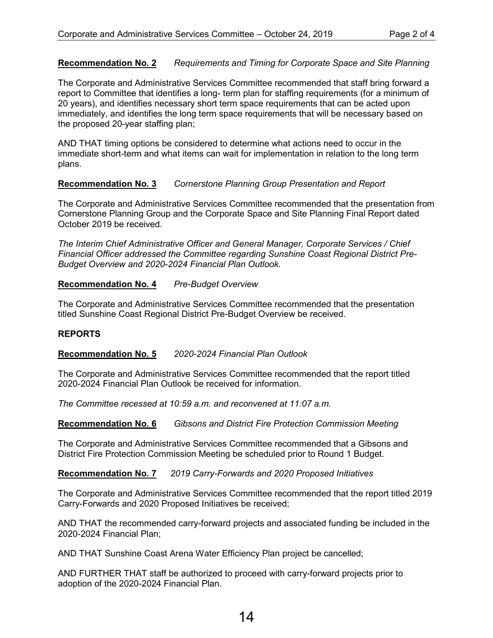# **Recommendation No. 2** *Requirements and Timing for Corporate Space and Site Planning*

The Corporate and Administrative Services Committee recommended that staff bring forward a report to Committee that identifies a long- term plan for staffing requirements (for a minimum of 20 years), and identifies necessary short term space requirements that can be acted upon immediately, and identifies the long term space requirements that will be necessary based on the proposed 20-year staffing plan;

AND THAT timing options be considered to determine what actions need to occur in the immediate short-term and what items can wait for implementation in relation to the long term plans.

# **Recommendation No. 3** *Cornerstone Planning Group Presentation and Report*

The Corporate and Administrative Services Committee recommended that the presentation from Cornerstone Planning Group and the Corporate Space and Site Planning Final Report dated October 2019 be received.

*The Interim Chief Administrative Officer and General Manager, Corporate Services / Chief Financial Officer addressed the Committee regarding Sunshine Coast Regional District Pre-Budget Overview and 2020-2024 Financial Plan Outlook.*

# **Recommendation No. 4** *Pre-Budget Overview*

The Corporate and Administrative Services Committee recommended that the presentation titled Sunshine Coast Regional District Pre-Budget Overview be received.

## **REPORTS**

**Recommendation No. 5** *2020-2024 Financial Plan Outlook*

The Corporate and Administrative Services Committee recommended that the report titled 2020-2024 Financial Plan Outlook be received for information.

*The Committee recessed at 10:59 a.m. and reconvened at 11:07 a.m.*

**Recommendation No. 6** *Gibsons and District Fire Protection Commission Meeting*

The Corporate and Administrative Services Committee recommended that a Gibsons and District Fire Protection Commission Meeting be scheduled prior to Round 1 Budget.

**Recommendation No. 7** *2019 Carry-Forwards and 2020 Proposed Initiatives*

The Corporate and Administrative Services Committee recommended that the report titled 2019 Carry-Forwards and 2020 Proposed Initiatives be received;

AND THAT the recommended carry-forward projects and associated funding be included in the 2020-2024 Financial Plan;

AND THAT Sunshine Coast Arena Water Efficiency Plan project be cancelled;

AND FURTHER THAT staff be authorized to proceed with carry-forward projects prior to adoption of the 2020-2024 Financial Plan.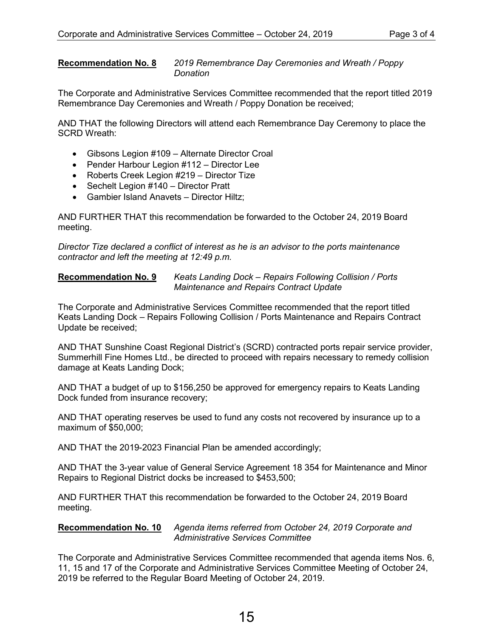**Recommendation No. 8** *2019 Remembrance Day Ceremonies and Wreath / Poppy Donation*

The Corporate and Administrative Services Committee recommended that the report titled 2019 Remembrance Day Ceremonies and Wreath / Poppy Donation be received;

AND THAT the following Directors will attend each Remembrance Day Ceremony to place the SCRD Wreath:

- Gibsons Legion #109 Alternate Director Croal
- Pender Harbour Legion #112 Director Lee
- Roberts Creek Legion #219 Director Tize
- Sechelt Legion #140 Director Pratt
- Gambier Island Anavets Director Hiltz;

AND FURTHER THAT this recommendation be forwarded to the October 24, 2019 Board meeting.

*Director Tize declared a conflict of interest as he is an advisor to the ports maintenance contractor and left the meeting at 12:49 p.m.*

**Recommendation No. 9** *Keats Landing Dock – Repairs Following Collision / Ports Maintenance and Repairs Contract Update*

The Corporate and Administrative Services Committee recommended that the report titled Keats Landing Dock – Repairs Following Collision / Ports Maintenance and Repairs Contract Update be received;

AND THAT Sunshine Coast Regional District's (SCRD) contracted ports repair service provider, Summerhill Fine Homes Ltd., be directed to proceed with repairs necessary to remedy collision damage at Keats Landing Dock;

AND THAT a budget of up to \$156,250 be approved for emergency repairs to Keats Landing Dock funded from insurance recovery;

AND THAT operating reserves be used to fund any costs not recovered by insurance up to a maximum of \$50,000;

AND THAT the 2019-2023 Financial Plan be amended accordingly;

AND THAT the 3-year value of General Service Agreement 18 354 for Maintenance and Minor Repairs to Regional District docks be increased to \$453,500;

AND FURTHER THAT this recommendation be forwarded to the October 24, 2019 Board meeting.

**Recommendation No. 10** *Agenda items referred from October 24, 2019 Corporate and Administrative Services Committee*

The Corporate and Administrative Services Committee recommended that agenda items Nos. 6, 11, 15 and 17 of the Corporate and Administrative Services Committee Meeting of October 24, 2019 be referred to the Regular Board Meeting of October 24, 2019.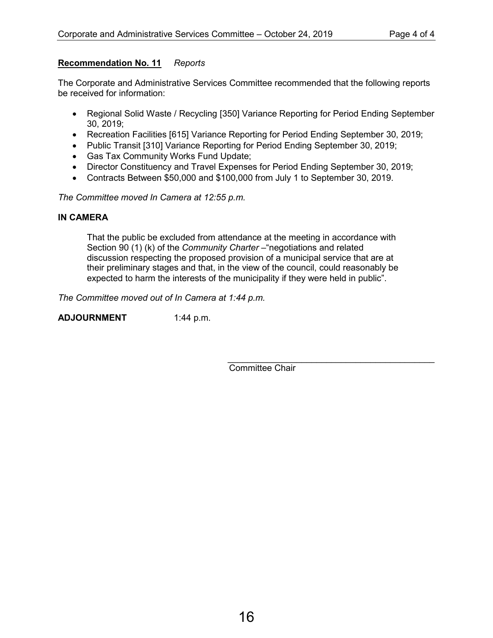# **Recommendation No. 11** *Reports*

The Corporate and Administrative Services Committee recommended that the following reports be received for information:

- Regional Solid Waste / Recycling [350] Variance Reporting for Period Ending September 30, 2019;
- Recreation Facilities [615] Variance Reporting for Period Ending September 30, 2019;
- Public Transit [310] Variance Reporting for Period Ending September 30, 2019;
- Gas Tax Community Works Fund Update;
- Director Constituency and Travel Expenses for Period Ending September 30, 2019;
- Contracts Between \$50,000 and \$100,000 from July 1 to September 30, 2019.

*The Committee moved In Camera at 12:55 p.m.*

# **IN CAMERA**

That the public be excluded from attendance at the meeting in accordance with Section 90 (1) (k) of the *Community Charter* – "negotiations and related discussion respecting the proposed provision of a municipal service that are at their preliminary stages and that, in the view of the council, could reasonably be expected to harm the interests of the municipality if they were held in public".

*The Committee moved out of In Camera at 1:44 p.m.*

**ADJOURNMENT** 1:44 p.m.

\_\_\_\_\_\_\_\_\_\_\_\_\_\_\_\_\_\_\_\_\_\_\_\_\_\_\_\_\_\_\_\_\_\_\_\_\_\_\_\_\_\_ Committee Chair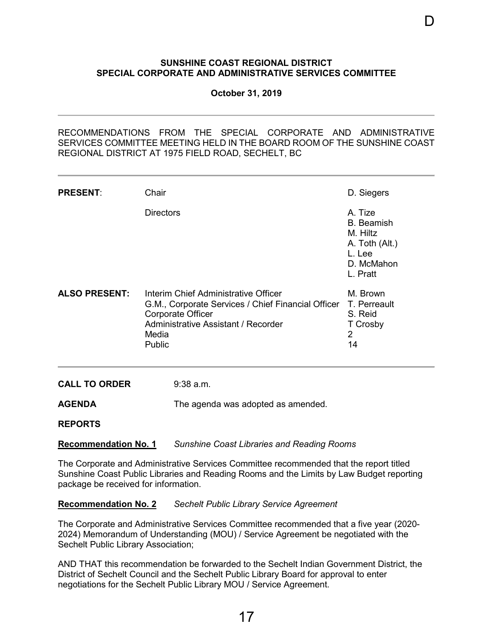### <span id="page-19-0"></span>**SUNSHINE COAST REGIONAL DISTRICT SPECIAL CORPORATE AND ADMINISTRATIVE SERVICES COMMITTEE**

D

**October 31, 2019**

RECOMMENDATIONS FROM THE SPECIAL CORPORATE AND ADMINISTRATIVE SERVICES COMMITTEE MEETING HELD IN THE BOARD ROOM OF THE SUNSHINE COAST REGIONAL DISTRICT AT 1975 FIELD ROAD, SECHELT, BC

| <b>PRESENT:</b>      | Chair                                                                                                                                                                            | D. Siegers                                                                                     |
|----------------------|----------------------------------------------------------------------------------------------------------------------------------------------------------------------------------|------------------------------------------------------------------------------------------------|
|                      | <b>Directors</b>                                                                                                                                                                 | A. Tize<br><b>B.</b> Beamish<br>M. Hiltz<br>A. Toth (Alt.)<br>L. Lee<br>D. McMahon<br>L. Pratt |
| <b>ALSO PRESENT:</b> | Interim Chief Administrative Officer<br>G.M., Corporate Services / Chief Financial Officer<br><b>Corporate Officer</b><br>Administrative Assistant / Recorder<br>Media<br>Public | M. Brown<br>T. Perreault<br>S. Reid<br>T Crosby<br>2<br>14                                     |

**CALL TO ORDER** 9:38 a.m.

**AGENDA** The agenda was adopted as amended.

**REPORTS**

**Recommendation No. 1** *Sunshine Coast Libraries and Reading Rooms*

The Corporate and Administrative Services Committee recommended that the report titled Sunshine Coast Public Libraries and Reading Rooms and the Limits by Law Budget reporting package be received for information.

**Recommendation No. 2** *Sechelt Public Library Service Agreement*

The Corporate and Administrative Services Committee recommended that a five year (2020- 2024) Memorandum of Understanding (MOU) / Service Agreement be negotiated with the Sechelt Public Library Association;

AND THAT this recommendation be forwarded to the Sechelt Indian Government District, the District of Sechelt Council and the Sechelt Public Library Board for approval to enter negotiations for the Sechelt Public Library MOU / Service Agreement.